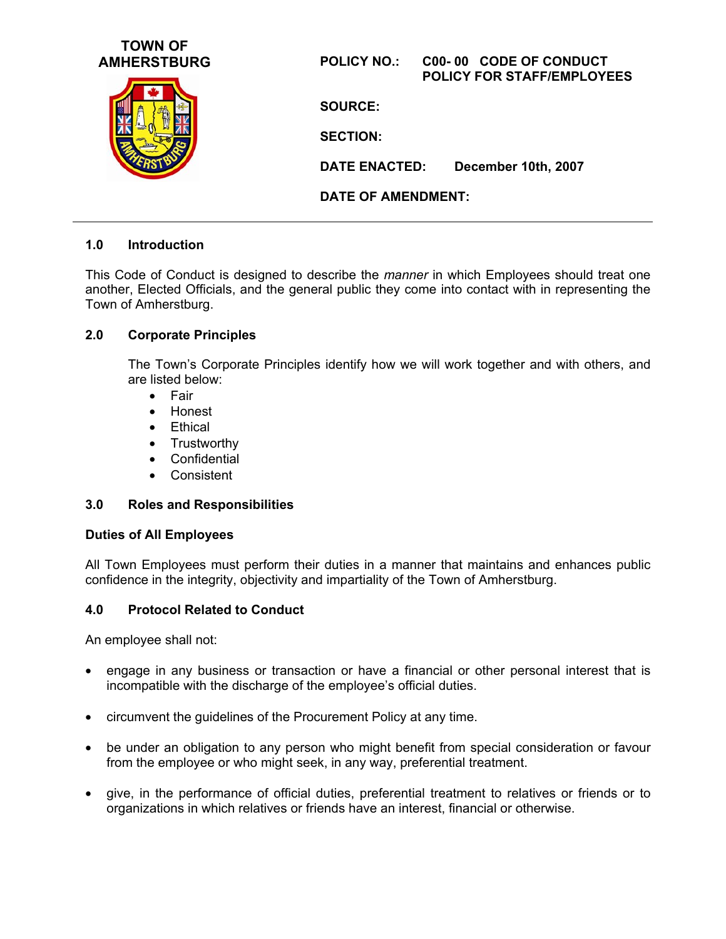

### **1.0 Introduction**

This Code of Conduct is designed to describe the *manner* in which Employees should treat one another, Elected Officials, and the general public they come into contact with in representing the Town of Amherstburg.

#### **2.0 Corporate Principles**

The Town's Corporate Principles identify how we will work together and with others, and are listed below:

- Fair
- Honest
- Ethical
- Trustworthy
- Confidential
- Consistent

#### **3.0 Roles and Responsibilities**

#### **Duties of All Employees**

All Town Employees must perform their duties in a manner that maintains and enhances public confidence in the integrity, objectivity and impartiality of the Town of Amherstburg.

#### **4.0 Protocol Related to Conduct**

An employee shall not:

- engage in any business or transaction or have a financial or other personal interest that is incompatible with the discharge of the employee's official duties.
- circumvent the guidelines of the Procurement Policy at any time.
- be under an obligation to any person who might benefit from special consideration or favour from the employee or who might seek, in any way, preferential treatment.
- give, in the performance of official duties, preferential treatment to relatives or friends or to organizations in which relatives or friends have an interest, financial or otherwise.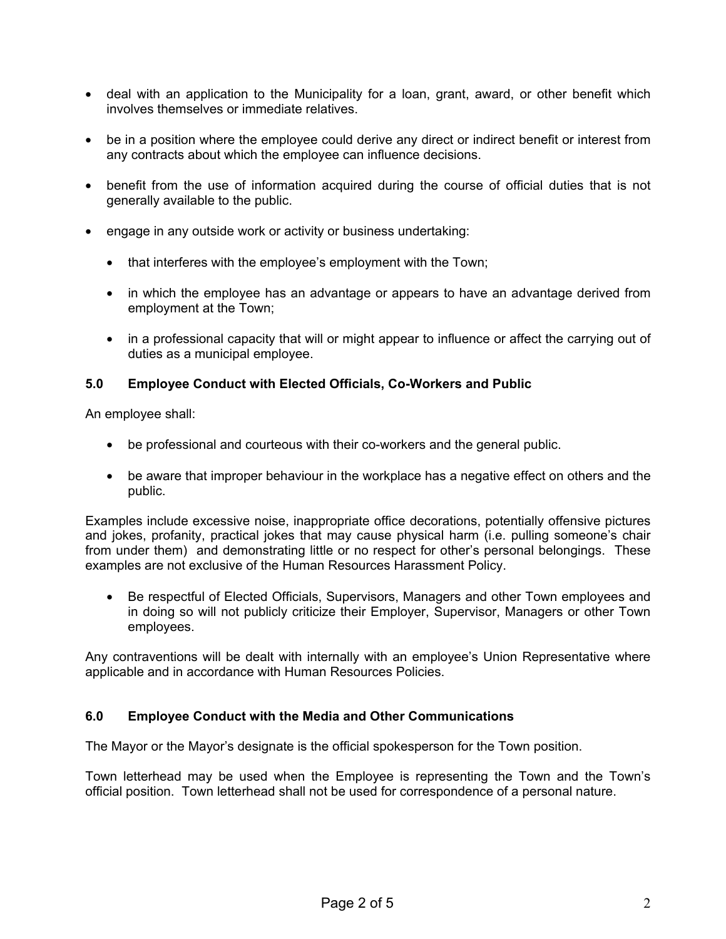- deal with an application to the Municipality for a loan, grant, award, or other benefit which involves themselves or immediate relatives.
- be in a position where the employee could derive any direct or indirect benefit or interest from any contracts about which the employee can influence decisions.
- benefit from the use of information acquired during the course of official duties that is not generally available to the public.
- engage in any outside work or activity or business undertaking:
	- that interferes with the employee's employment with the Town;
	- in which the employee has an advantage or appears to have an advantage derived from employment at the Town;
	- in a professional capacity that will or might appear to influence or affect the carrying out of duties as a municipal employee.

# **5.0 Employee Conduct with Elected Officials, Co-Workers and Public**

An employee shall:

- be professional and courteous with their co-workers and the general public.
- be aware that improper behaviour in the workplace has a negative effect on others and the public.

Examples include excessive noise, inappropriate office decorations, potentially offensive pictures and jokes, profanity, practical jokes that may cause physical harm (i.e. pulling someone's chair from under them) and demonstrating little or no respect for other's personal belongings. These examples are not exclusive of the Human Resources Harassment Policy.

• Be respectful of Elected Officials, Supervisors, Managers and other Town employees and in doing so will not publicly criticize their Employer, Supervisor, Managers or other Town employees.

Any contraventions will be dealt with internally with an employee's Union Representative where applicable and in accordance with Human Resources Policies.

### **6.0 Employee Conduct with the Media and Other Communications**

The Mayor or the Mayor's designate is the official spokesperson for the Town position.

Town letterhead may be used when the Employee is representing the Town and the Town's official position. Town letterhead shall not be used for correspondence of a personal nature.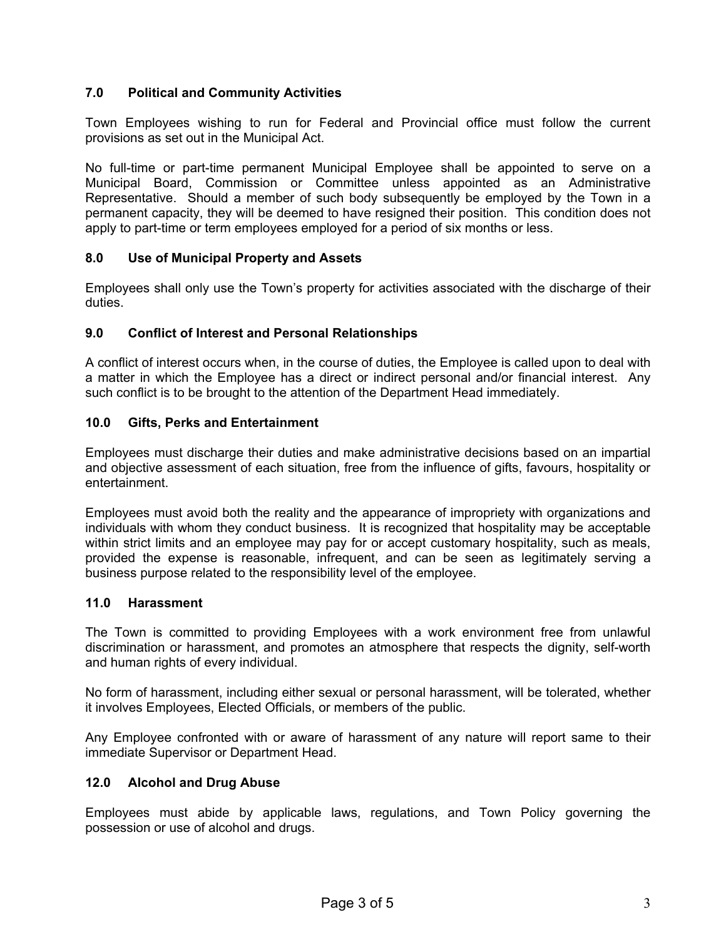## **7.0 Political and Community Activities**

Town Employees wishing to run for Federal and Provincial office must follow the current provisions as set out in the Municipal Act.

No full-time or part-time permanent Municipal Employee shall be appointed to serve on a Municipal Board, Commission or Committee unless appointed as an Administrative Representative. Should a member of such body subsequently be employed by the Town in a permanent capacity, they will be deemed to have resigned their position. This condition does not apply to part-time or term employees employed for a period of six months or less.

### **8.0 Use of Municipal Property and Assets**

Employees shall only use the Town's property for activities associated with the discharge of their duties.

### **9.0 Conflict of Interest and Personal Relationships**

A conflict of interest occurs when, in the course of duties, the Employee is called upon to deal with a matter in which the Employee has a direct or indirect personal and/or financial interest. Any such conflict is to be brought to the attention of the Department Head immediately.

## **10.0 Gifts, Perks and Entertainment**

Employees must discharge their duties and make administrative decisions based on an impartial and objective assessment of each situation, free from the influence of gifts, favours, hospitality or entertainment.

Employees must avoid both the reality and the appearance of impropriety with organizations and individuals with whom they conduct business. It is recognized that hospitality may be acceptable within strict limits and an employee may pay for or accept customary hospitality, such as meals, provided the expense is reasonable, infrequent, and can be seen as legitimately serving a business purpose related to the responsibility level of the employee.

### **11.0 Harassment**

The Town is committed to providing Employees with a work environment free from unlawful discrimination or harassment, and promotes an atmosphere that respects the dignity, self-worth and human rights of every individual.

No form of harassment, including either sexual or personal harassment, will be tolerated, whether it involves Employees, Elected Officials, or members of the public.

Any Employee confronted with or aware of harassment of any nature will report same to their immediate Supervisor or Department Head.

## **12.0 Alcohol and Drug Abuse**

Employees must abide by applicable laws, regulations, and Town Policy governing the possession or use of alcohol and drugs.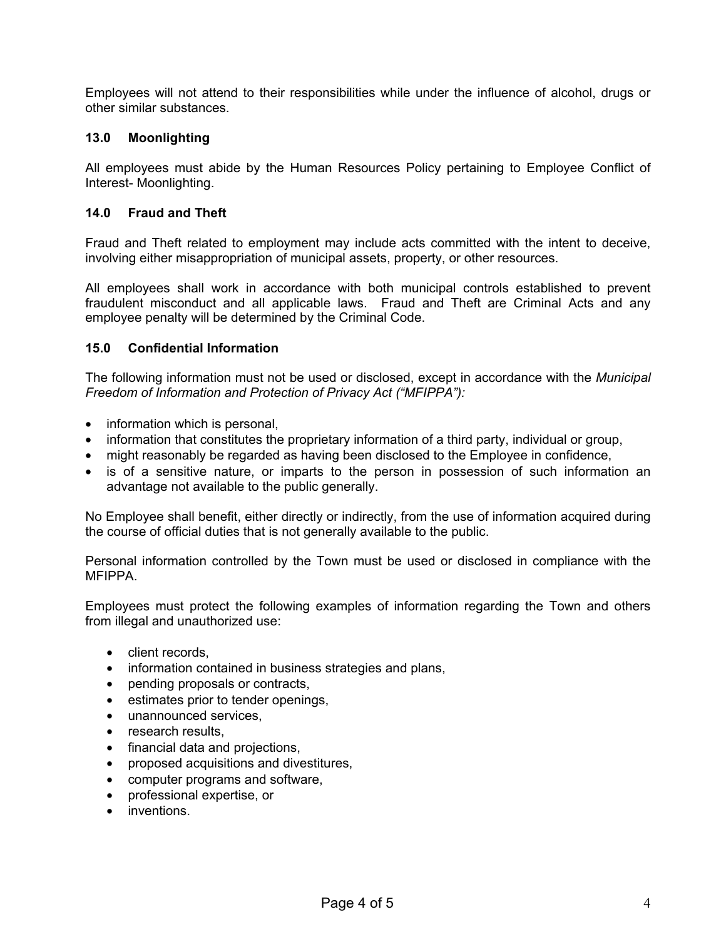Employees will not attend to their responsibilities while under the influence of alcohol, drugs or other similar substances.

### **13.0 Moonlighting**

All employees must abide by the Human Resources Policy pertaining to Employee Conflict of Interest- Moonlighting.

### **14.0 Fraud and Theft**

Fraud and Theft related to employment may include acts committed with the intent to deceive, involving either misappropriation of municipal assets, property, or other resources.

All employees shall work in accordance with both municipal controls established to prevent fraudulent misconduct and all applicable laws. Fraud and Theft are Criminal Acts and any employee penalty will be determined by the Criminal Code.

## **15.0 Confidential Information**

The following information must not be used or disclosed, except in accordance with the *Municipal Freedom of Information and Protection of Privacy Act ("MFIPPA"):* 

- information which is personal,
- information that constitutes the proprietary information of a third party, individual or group,
- might reasonably be regarded as having been disclosed to the Employee in confidence,
- is of a sensitive nature, or imparts to the person in possession of such information an advantage not available to the public generally.

No Employee shall benefit, either directly or indirectly, from the use of information acquired during the course of official duties that is not generally available to the public.

Personal information controlled by the Town must be used or disclosed in compliance with the **MFIPPA** 

Employees must protect the following examples of information regarding the Town and others from illegal and unauthorized use:

- client records,
- information contained in business strategies and plans,
- pending proposals or contracts,
- estimates prior to tender openings,
- unannounced services,
- research results.
- financial data and projections,
- proposed acquisitions and divestitures,
- computer programs and software,
- professional expertise, or
- inventions.